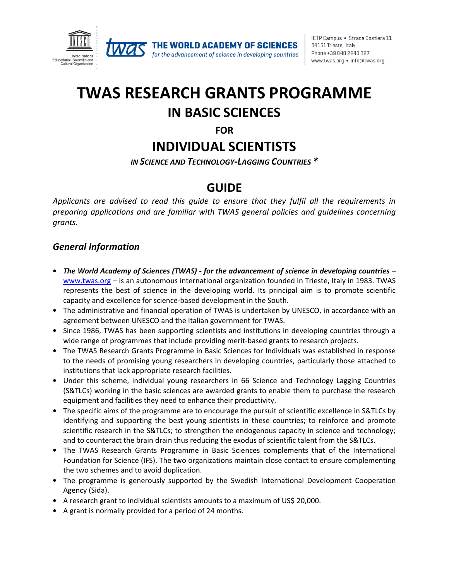

for the advancement of science in developing countries

# **TWAS RESEARCH GRANTS PROGRAMME IN BASIC SCIENCES**

**FOR**

## **INDIVIDUAL SCIENTISTS**

*IN SCIENCE AND TECHNOLOGY-LAGGING COUNTRIES \**

### **GUIDE**

*Applicants are advised to read this guide to ensure that they fulfil all the requirements in preparing applications and are familiar with TWAS general policies and guidelines concerning grants.*

### *General Information*

- *The World Academy of Sciences (TWAS) - for the advancement of science in developing countries* [www.twas.org](http://www.twas.org/) – is an autonomous international organization founded in Trieste, Italy in 1983. TWAS represents the best of science in the developing world. Its principal aim is to promote scientific capacity and excellence for science-based development in the South.
- The administrative and financial operation of TWAS is undertaken by UNESCO, in accordance with an agreement between UNESCO and the Italian government for TWAS.
- Since 1986, TWAS has been supporting scientists and institutions in developing countries through a wide range of programmes that include providing merit-based grants to research projects.
- The TWAS Research Grants Programme in Basic Sciences for Individuals was established in response to the needs of promising young researchers in developing countries, particularly those attached to institutions that lack appropriate research facilities.
- Under this scheme, individual young researchers in 66 Science and Technology Lagging Countries (S&TLCs) working in the basic sciences are awarded grants to enable them to purchase the research equipment and facilities they need to enhance their productivity.
- The specific aims of the programme are to encourage the pursuit of scientific excellence in S&TLCs by identifying and supporting the best young scientists in these countries; to reinforce and promote scientific research in the S&TLCs; to strengthen the endogenous capacity in science and technology; and to counteract the brain drain thus reducing the exodus of scientific talent from the S&TLCs.
- The TWAS Research Grants Programme in Basic Sciences complements that of the International Foundation for Science (IFS). The two organizations maintain close contact to ensure complementing the two schemes and to avoid duplication.
- The programme is generously supported by the Swedish International Development Cooperation Agency (Sida).
- A research grant to individual scientists amounts to a maximum of US\$ 20,000.
- A grant is normally provided for a period of 24 months.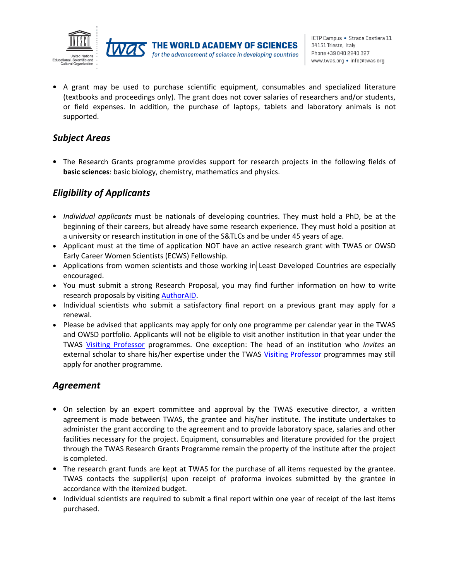



• A grant may be used to purchase scientific equipment, consumables and specialized literature (textbooks and proceedings only). The grant does not cover salaries of researchers and/or students, or field expenses. In addition, the purchase of laptops, tablets and laboratory animals is not supported.

### *Subject Areas*

• The Research Grants programme provides support for research projects in the following fields of **basic sciences**: basic biology, chemistry, mathematics and physics.

### *Eligibility of Applicants*

- *Individual applicants* must be nationals of developing countries. They must hold a PhD, be at the beginning of their careers, but already have some research experience. They must hold a position at a university or research institution in one of the S&TLCs and be under 45 years of age.
- Applicant must at the time of application NOT have an active research grant with TWAS or OWSD Early Career Women Scientists (ECWS) Fellowship.
- Applications from women scientists and those working in Least Developed Countries are especially encouraged.
- You must submit a strong Research Proposal, you may find further information on how to write research proposals by visiting [AuthorAID.](https://www.authoraid.info/en/resources/?topic=Grant+proposal+writing&language=English)
- Individual scientists who submit a satisfactory final report on a previous grant may apply for a renewal.
- Please be advised that applicants may apply for only one programme per calendar year in the TWAS and OWSD portfolio. Applicants will not be eligible to visit another institution in that year under the TWAS [Visiting Professor](https://twas.org/opportunities/visiting-scientist/professors) programmes. One exception: The head of an institution who *invites* an external scholar to share his/her expertise under the TWAS [Visiting Professor](https://twas.org/opportunities/visiting-scientist/professors) programmes may still apply for another programme.

#### *Agreement*

- On selection by an expert committee and approval by the TWAS executive director, a written agreement is made between TWAS, the grantee and his/her institute. The institute undertakes to administer the grant according to the agreement and to provide laboratory space, salaries and other facilities necessary for the project. Equipment, consumables and literature provided for the project through the TWAS Research Grants Programme remain the property of the institute after the project is completed.
- The research grant funds are kept at TWAS for the purchase of all items requested by the grantee. TWAS contacts the supplier(s) upon receipt of proforma invoices submitted by the grantee in accordance with the itemized budget.
- Individual scientists are required to submit a final report within one year of receipt of the last items purchased.